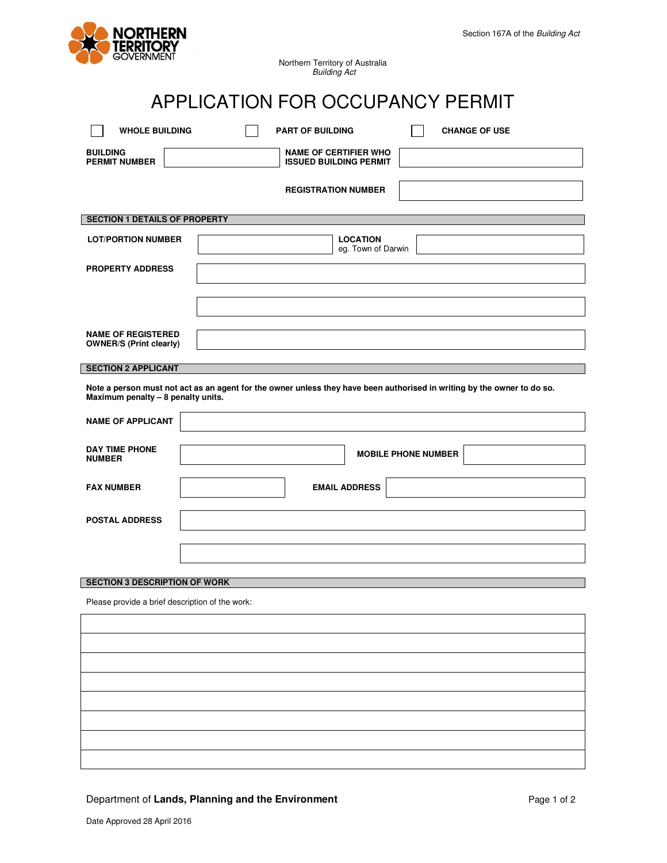

# APPLICATION FOR OCCUPANCY PERMIT

| <b>WHOLE BUILDING</b>                                                                                                                                         | <b>PART OF BUILDING</b><br><b>CHANGE OF USE</b>               |  |  |  |  |  |
|---------------------------------------------------------------------------------------------------------------------------------------------------------------|---------------------------------------------------------------|--|--|--|--|--|
| <b>BUILDING</b><br><b>PERMIT NUMBER</b>                                                                                                                       | <b>NAME OF CERTIFIER WHO</b><br><b>ISSUED BUILDING PERMIT</b> |  |  |  |  |  |
|                                                                                                                                                               | <b>REGISTRATION NUMBER</b>                                    |  |  |  |  |  |
| <b>SECTION 1 DETAILS OF PROPERTY</b>                                                                                                                          |                                                               |  |  |  |  |  |
|                                                                                                                                                               |                                                               |  |  |  |  |  |
| <b>LOT/PORTION NUMBER</b>                                                                                                                                     | <b>LOCATION</b><br>eg. Town of Darwin                         |  |  |  |  |  |
| <b>PROPERTY ADDRESS</b>                                                                                                                                       |                                                               |  |  |  |  |  |
|                                                                                                                                                               |                                                               |  |  |  |  |  |
|                                                                                                                                                               |                                                               |  |  |  |  |  |
|                                                                                                                                                               |                                                               |  |  |  |  |  |
| <b>NAME OF REGISTERED</b>                                                                                                                                     |                                                               |  |  |  |  |  |
| <b>OWNER/S (Print clearly)</b>                                                                                                                                |                                                               |  |  |  |  |  |
| <b>SECTION 2 APPLICANT</b>                                                                                                                                    |                                                               |  |  |  |  |  |
| Note a person must not act as an agent for the owner unless they have been authorised in writing by the owner to do so.<br>Maximum penalty - 8 penalty units. |                                                               |  |  |  |  |  |
| <b>NAME OF APPLICANT</b>                                                                                                                                      |                                                               |  |  |  |  |  |
| <b>DAY TIME PHONE</b><br><b>NUMBER</b>                                                                                                                        | <b>MOBILE PHONE NUMBER</b>                                    |  |  |  |  |  |
| <b>FAX NUMBER</b>                                                                                                                                             | <b>EMAIL ADDRESS</b>                                          |  |  |  |  |  |
| <b>POSTAL ADDRESS</b>                                                                                                                                         |                                                               |  |  |  |  |  |
|                                                                                                                                                               |                                                               |  |  |  |  |  |
|                                                                                                                                                               |                                                               |  |  |  |  |  |
|                                                                                                                                                               |                                                               |  |  |  |  |  |
| <b>SECTION 3 DESCRIPTION OF WORK</b>                                                                                                                          |                                                               |  |  |  |  |  |
| Please provide a brief description of the work:                                                                                                               |                                                               |  |  |  |  |  |
|                                                                                                                                                               |                                                               |  |  |  |  |  |
|                                                                                                                                                               |                                                               |  |  |  |  |  |
|                                                                                                                                                               |                                                               |  |  |  |  |  |
|                                                                                                                                                               |                                                               |  |  |  |  |  |
|                                                                                                                                                               |                                                               |  |  |  |  |  |
|                                                                                                                                                               |                                                               |  |  |  |  |  |
|                                                                                                                                                               |                                                               |  |  |  |  |  |
|                                                                                                                                                               |                                                               |  |  |  |  |  |
|                                                                                                                                                               |                                                               |  |  |  |  |  |

# Department of Lands, Planning and the Environment **Page 1** of 2